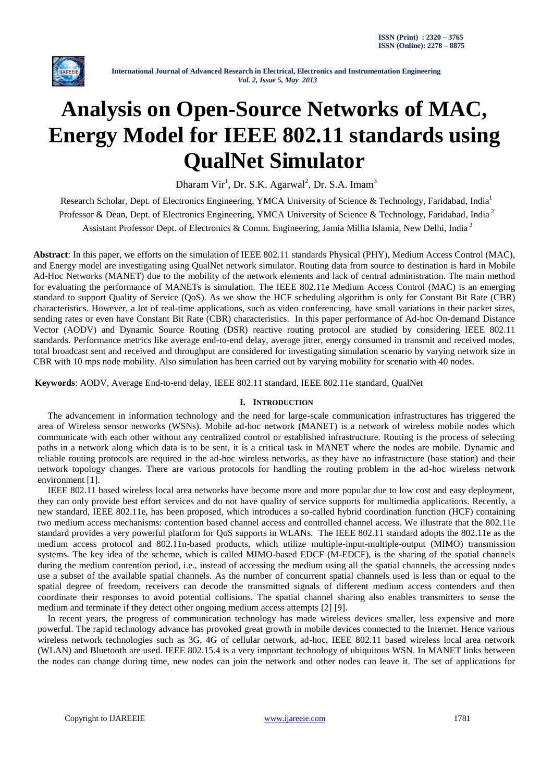

# **Analysis on Open-Source Networks of MAC, Energy Model for IEEE 802.11 standards using QualNet Simulator**

Dharam Vir<sup>1</sup>, Dr. S.K. Agarwal<sup>2</sup>, Dr. S.A. Imam<sup>3</sup>

Research Scholar, Dept. of Electronics Engineering, YMCA University of Science & Technology, Faridabad, India<sup>1</sup> Professor & Dean, Dept. of Electronics Engineering, YMCA University of Science & Technology, Faridabad, India<sup>2</sup> Assistant Professor Dept. of Electronics & Comm. Engineering, Jamia Millia Islamia, New Delhi, India <sup>3</sup>

**Abstract**: In this paper, we efforts on the simulation of IEEE 802.11 standards Physical (PHY), Medium Access Control (MAC), and Energy model are investigating using QualNet network simulator. Routing data from source to destination is hard in Mobile Ad-Hoc Networks (MANET) due to the mobility of the network elements and lack of central administration. The main method for evaluating the performance of MANETs is simulation. The IEEE 802.11e Medium Access Control (MAC) is an emerging standard to support Quality of Service (QoS). As we show the HCF scheduling algorithm is only for Constant Bit Rate (CBR) characteristics. However, a lot of real-time applications, such as video conferencing, have small variations in their packet sizes, sending rates or even have Constant Bit Rate (CBR) characteristics. In this paper performance of Ad-hoc On-demand Distance Vector (AODV) and Dynamic Source Routing (DSR) reactive routing protocol are studied by considering IEEE 802.11 standards. Performance metrics like average end-to-end delay, average jitter, energy consumed in transmit and received modes, total broadcast sent and received and throughput are considered for investigating simulation scenario by varying network size in CBR with 10 mps node mobility. Also simulation has been carried out by varying mobility for scenario with 40 nodes.

 **Keywords**: AODV, Average End-to-end delay, IEEE 802.11 standard, IEEE 802.11e standard, QualNet

# **I. INTRODUCTION**

The advancement in information technology and the need for large-scale communication infrastructures has triggered the area of Wireless sensor networks (WSNs). Mobile ad-hoc network (MANET) is a network of wireless mobile nodes which communicate with each other without any centralized control or established infrastructure. Routing is the process of selecting paths in a network along which data is to be sent, it is a critical task in MANET where the nodes are mobile. Dynamic and reliable routing protocols are required in the ad-hoc wireless networks, as they have no infrastructure (base station) and their network topology changes. There are various protocols for handling the routing problem in the ad-hoc wireless network environment [1].

IEEE 802.11 based wireless local area networks have become more and more popular due to low cost and easy deployment, they can only provide best effort services and do not have quality of service supports for multimedia applications. Recently, a new standard, IEEE 802.11e, has been proposed, which introduces a so-called hybrid coordination function (HCF) containing two medium access mechanisms: contention based channel access and controlled channel access. We illustrate that the 802.11e standard provides a very powerful platform for QoS supports in WLANs. The IEEE 802.11 standard adopts the 802.11e as the medium access protocol and 802.11n-based products, which utilize multiple-input-multiple-output (MIMO) transmission systems. The key idea of the scheme, which is called MIMO-based EDCF (M-EDCF), is the sharing of the spatial channels during the medium contention period, i.e., instead of accessing the medium using all the spatial channels, the accessing nodes use a subset of the available spatial channels. As the number of concurrent spatial channels used is less than or equal to the spatial degree of freedom, receivers can decode the transmitted signals of different medium access contenders and then coordinate their responses to avoid potential collisions. The spatial channel sharing also enables transmitters to sense the medium and terminate if they detect other ongoing medium access attempts [2] [9].

In recent years, the progress of communication technology has made wireless devices smaller, less expensive and more powerful. The rapid technology advance has provoked great growth in mobile devices connected to the Internet. Hence various wireless network technologies such as 3G, 4G of cellular network, ad-hoc, IEEE 802.11 based wireless local area network (WLAN) and Bluetooth are used. IEEE 802.15.4 is a very important technology of ubiquitous WSN. In MANET links between the nodes can change during time, new nodes can join the network and other nodes can leave it. The set of applications for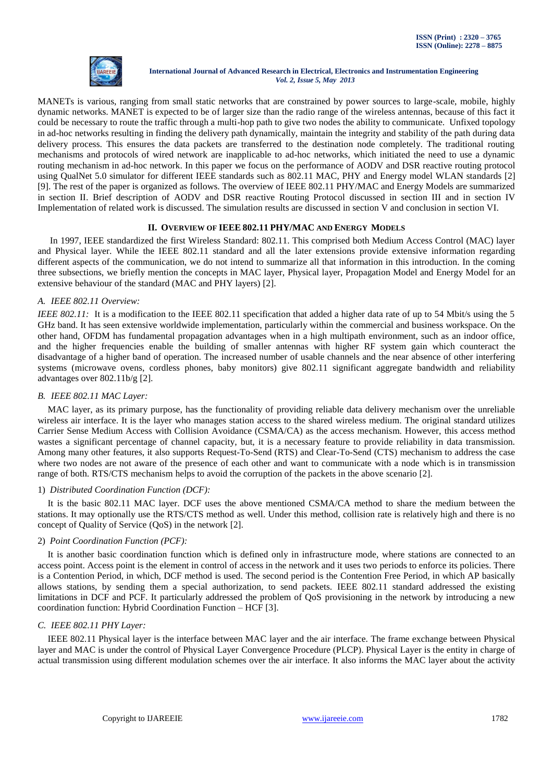

MANETs is various, ranging from small static networks that are constrained by power sources to large-scale, mobile, highly dynamic networks. MANET is expected to be of larger size than the radio range of the wireless antennas, because of this fact it could be necessary to route the traffic through a multi-hop path to give two nodes the ability to communicate. Unfixed topology in ad-hoc networks resulting in finding the delivery path dynamically, maintain the integrity and stability of the path during data delivery process. This ensures the data packets are transferred to the destination node completely. The traditional routing mechanisms and protocols of wired network are inapplicable to ad-hoc networks, which initiated the need to use a dynamic routing mechanism in ad-hoc network. In this paper we focus on the performance of AODV and DSR reactive routing protocol using QualNet 5.0 simulator for different IEEE standards such as 802.11 MAC, PHY and Energy model WLAN standards [2] [9]. The rest of the paper is organized as follows. The overview of IEEE 802.11 PHY/MAC and Energy Models are summarized in section II. Brief description of AODV and DSR reactive Routing Protocol discussed in section III and in section IV Implementation of related work is discussed. The simulation results are discussed in section V and conclusion in section VI.

# **II. OVERVIEW OF IEEE 802.11 PHY/MAC AND ENERGY MODELS**

In 1997, IEEE standardized the first Wireless Standard: 802.11. This comprised both Medium Access Control (MAC) layer and Physical layer. While the IEEE 802.11 standard and all the later extensions provide extensive information regarding different aspects of the communication, we do not intend to summarize all that information in this introduction. In the coming three subsections, we briefly mention the concepts in MAC layer, Physical layer, Propagation Model and Energy Model for an extensive behaviour of the standard (MAC and PHY layers) [2].

# *A. IEEE 802.11 Overview:*

*IEEE 802.11*: It is a modification to the IEEE 802.11 specification that added a higher data rate of up to 54 Mbit/s using the 5 GHz band. It has seen extensive worldwide implementation, particularly within the commercial and business workspace. On the other hand, OFDM has fundamental propagation advantages when in a high multipath environment, such as an indoor office, and the higher frequencies enable the building of smaller antennas with higher RF system gain which counteract the disadvantage of a higher band of operation. The increased number of usable channels and the near absence of other interfering systems (microwave ovens, cordless phones, baby monitors) give 802.11 significant aggregate bandwidth and reliability advantages over 802.11b/g [2].

# *B. IEEE 802.11 MAC Layer:*

MAC layer, as its primary purpose, has the functionality of providing reliable data delivery mechanism over the unreliable wireless air interface. It is the layer who manages station access to the shared wireless medium. The original standard utilizes Carrier Sense Medium Access with Collision Avoidance (CSMA/CA) as the access mechanism. However, this access method wastes a significant percentage of channel capacity, but, it is a necessary feature to provide reliability in data transmission. Among many other features, it also supports Request-To-Send (RTS) and Clear-To-Send (CTS) mechanism to address the case where two nodes are not aware of the presence of each other and want to communicate with a node which is in transmission range of both. RTS/CTS mechanism helps to avoid the corruption of the packets in the above scenario [2].

# 1) *Distributed Coordination Function (DCF):*

It is the basic 802.11 MAC layer. DCF uses the above mentioned CSMA/CA method to share the medium between the stations. It may optionally use the RTS/CTS method as well. Under this method, collision rate is relatively high and there is no concept of Quality of Service (QoS) in the network [2].

# 2) *Point Coordination Function (PCF):*

It is another basic coordination function which is defined only in infrastructure mode, where stations are connected to an access point. Access point is the element in control of access in the network and it uses two periods to enforce its policies. There is a Contention Period, in which, DCF method is used. The second period is the Contention Free Period, in which AP basically allows stations, by sending them a special authorization, to send packets. IEEE 802.11 standard addressed the existing limitations in DCF and PCF. It particularly addressed the problem of QoS provisioning in the network by introducing a new coordination function: Hybrid Coordination Function – HCF [3].

# *C. IEEE 802.11 PHY Layer:*

IEEE 802.11 Physical layer is the interface between MAC layer and the air interface. The frame exchange between Physical layer and MAC is under the control of Physical Layer Convergence Procedure (PLCP). Physical Layer is the entity in charge of actual transmission using different modulation schemes over the air interface. It also informs the MAC layer about the activity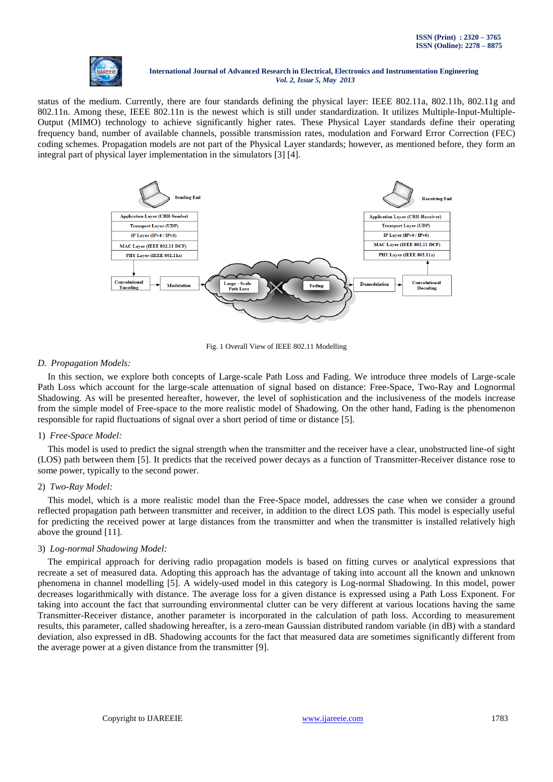

status of the medium. Currently, there are four standards defining the physical layer: IEEE 802.11a, 802.11b, 802.11g and 802.11n. Among these, IEEE 802.11n is the newest which is still under standardization. It utilizes Multiple-Input-Multiple-Output (MIMO) technology to achieve significantly higher rates. These Physical Layer standards define their operating frequency band, number of available channels, possible transmission rates, modulation and Forward Error Correction (FEC) coding schemes. Propagation models are not part of the Physical Layer standards; however, as mentioned before, they form an integral part of physical layer implementation in the simulators [3] [4].



Fig. 1 Overall View of IEEE 802.11 Modelling

# *D. Propagation Models:*

In this section, we explore both concepts of Large-scale Path Loss and Fading. We introduce three models of Large-scale Path Loss which account for the large-scale attenuation of signal based on distance: Free-Space, Two-Ray and Lognormal Shadowing. As will be presented hereafter, however, the level of sophistication and the inclusiveness of the models increase from the simple model of Free-space to the more realistic model of Shadowing. On the other hand, Fading is the phenomenon responsible for rapid fluctuations of signal over a short period of time or distance [5].

# 1) *Free-Space Model:*

This model is used to predict the signal strength when the transmitter and the receiver have a clear, unobstructed line-of sight (LOS) path between them [5]. It predicts that the received power decays as a function of Transmitter-Receiver distance rose to some power, typically to the second power.

#### 2) *Two-Ray Model:*

This model, which is a more realistic model than the Free-Space model, addresses the case when we consider a ground reflected propagation path between transmitter and receiver, in addition to the direct LOS path. This model is especially useful for predicting the received power at large distances from the transmitter and when the transmitter is installed relatively high above the ground [11].

# 3) *Log-normal Shadowing Model:*

The empirical approach for deriving radio propagation models is based on fitting curves or analytical expressions that recreate a set of measured data. Adopting this approach has the advantage of taking into account all the known and unknown phenomena in channel modelling [5]. A widely-used model in this category is Log-normal Shadowing. In this model, power decreases logarithmically with distance. The average loss for a given distance is expressed using a Path Loss Exponent. For taking into account the fact that surrounding environmental clutter can be very different at various locations having the same Transmitter-Receiver distance, another parameter is incorporated in the calculation of path loss. According to measurement results, this parameter, called shadowing hereafter, is a zero-mean Gaussian distributed random variable (in dB) with a standard deviation, also expressed in dB. Shadowing accounts for the fact that measured data are sometimes significantly different from the average power at a given distance from the transmitter [9].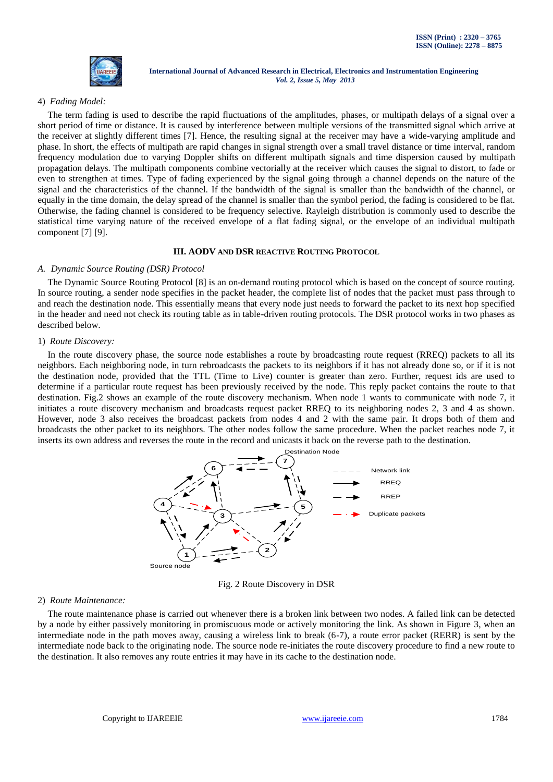

# 4) *Fading Model:*

The term fading is used to describe the rapid fluctuations of the amplitudes, phases, or multipath delays of a signal over a short period of time or distance. It is caused by interference between multiple versions of the transmitted signal which arrive at the receiver at slightly different times [7]. Hence, the resulting signal at the receiver may have a wide-varying amplitude and phase. In short, the effects of multipath are rapid changes in signal strength over a small travel distance or time interval, random frequency modulation due to varying Doppler shifts on different multipath signals and time dispersion caused by multipath propagation delays. The multipath components combine vectorially at the receiver which causes the signal to distort, to fade or even to strengthen at times. Type of fading experienced by the signal going through a channel depends on the nature of the signal and the characteristics of the channel. If the bandwidth of the signal is smaller than the bandwidth of the channel, or equally in the time domain, the delay spread of the channel is smaller than the symbol period, the fading is considered to be flat. Otherwise, the fading channel is considered to be frequency selective. Rayleigh distribution is commonly used to describe the statistical time varying nature of the received envelope of a flat fading signal, or the envelope of an individual multipath component [7] [9].

# **III. AODV AND DSR REACTIVE ROUTING PROTOCOL**

#### *A. Dynamic Source Routing (DSR) Protocol*

The Dynamic Source Routing Protocol [8] is an on-demand routing protocol which is based on the concept of source routing. In source routing, a sender node specifies in the packet header, the complete list of nodes that the packet must pass through to and reach the destination node. This essentially means that every node just needs to forward the packet to its next hop specified in the header and need not check its routing table as in table-driven routing protocols. The DSR protocol works in two phases as described below.

#### 1) *Route Discovery:*

In the route discovery phase, the source node establishes a route by broadcasting route request (RREQ) packets to all its neighbors. Each neighboring node, in turn rebroadcasts the packets to its neighbors if it has not already done so, or if it is not the destination node, provided that the TTL (Time to Live) counter is greater than zero. Further, request ids are used to determine if a particular route request has been previously received by the node. This reply packet contains the route to that destination. Fig.2 shows an example of the route discovery mechanism. When node 1 wants to communicate with node 7, it initiates a route discovery mechanism and broadcasts request packet RREQ to its neighboring nodes 2, 3 and 4 as shown. However, node 3 also receives the broadcast packets from nodes 4 and 2 with the same pair. It drops both of them and broadcasts the other packet to its neighbors. The other nodes follow the same procedure. When the packet reaches node 7, it inserts its own address and reverses the route in the record and unicasts it back on the reverse path to the destination.



Fig. 2 Route Discovery in DSR

#### 2) *Route Maintenance:*

The route maintenance phase is carried out whenever there is a broken link between two nodes. A failed link can be detected by a node by either passively monitoring in promiscuous mode or actively monitoring the link. As shown in Figure 3, when an intermediate node in the path moves away, causing a wireless link to break (6-7), a route error packet (RERR) is sent by the intermediate node back to the originating node. The source node re-initiates the route discovery procedure to find a new route to the destination. It also removes any route entries it may have in its cache to the destination node.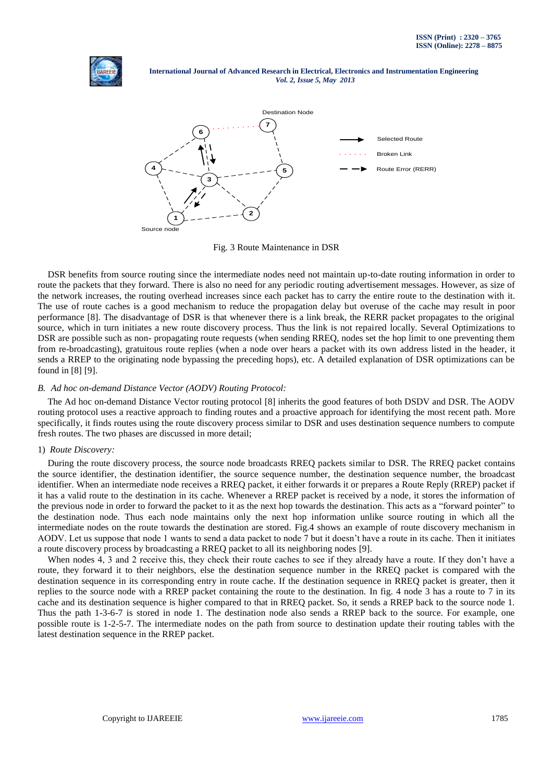



Fig. 3 Route Maintenance in DSR

DSR benefits from source routing since the intermediate nodes need not maintain up-to-date routing information in order to route the packets that they forward. There is also no need for any periodic routing advertisement messages. However, as size of the network increases, the routing overhead increases since each packet has to carry the entire route to the destination with it. The use of route caches is a good mechanism to reduce the propagation delay but overuse of the cache may result in poor performance [8]. The disadvantage of DSR is that whenever there is a link break, the RERR packet propagates to the original source, which in turn initiates a new route discovery process. Thus the link is not repaired locally. Several Optimizations to DSR are possible such as non- propagating route requests (when sending RREQ, nodes set the hop limit to one preventing them from re-broadcasting), gratuitous route replies (when a node over hears a packet with its own address listed in the header, it sends a RREP to the originating node bypassing the preceding hops), etc. A detailed explanation of DSR optimizations can be found in [8] [9].

## *B. Ad hoc on-demand Distance Vector (AODV) Routing Protocol:*

The Ad hoc on-demand Distance Vector routing protocol [8] inherits the good features of both DSDV and DSR. The AODV routing protocol uses a reactive approach to finding routes and a proactive approach for identifying the most recent path. More specifically, it finds routes using the route discovery process similar to DSR and uses destination sequence numbers to compute fresh routes. The two phases are discussed in more detail;

#### 1) *Route Discovery:*

During the route discovery process, the source node broadcasts RREQ packets similar to DSR. The RREQ packet contains the source identifier, the destination identifier, the source sequence number, the destination sequence number, the broadcast identifier. When an intermediate node receives a RREQ packet, it either forwards it or prepares a Route Reply (RREP) packet if it has a valid route to the destination in its cache. Whenever a RREP packet is received by a node, it stores the information of the previous node in order to forward the packet to it as the next hop towards the destination. This acts as a "forward pointer" to the destination node. Thus each node maintains only the next hop information unlike source routing in which all the intermediate nodes on the route towards the destination are stored. Fig.4 shows an example of route discovery mechanism in AODV. Let us suppose that node 1 wants to send a data packet to node 7 but it doesn't have a route in its cache. Then it initiates a route discovery process by broadcasting a RREQ packet to all its neighboring nodes [9].

When nodes 4, 3 and 2 receive this, they check their route caches to see if they already have a route. If they don't have a route, they forward it to their neighbors, else the destination sequence number in the RREQ packet is compared with the destination sequence in its corresponding entry in route cache. If the destination sequence in RREQ packet is greater, then it replies to the source node with a RREP packet containing the route to the destination. In fig. 4 node 3 has a route to 7 in its cache and its destination sequence is higher compared to that in RREQ packet. So, it sends a RREP back to the source node 1. Thus the path 1-3-6-7 is stored in node 1. The destination node also sends a RREP back to the source. For example, one possible route is 1-2-5-7. The intermediate nodes on the path from source to destination update their routing tables with the latest destination sequence in the RREP packet.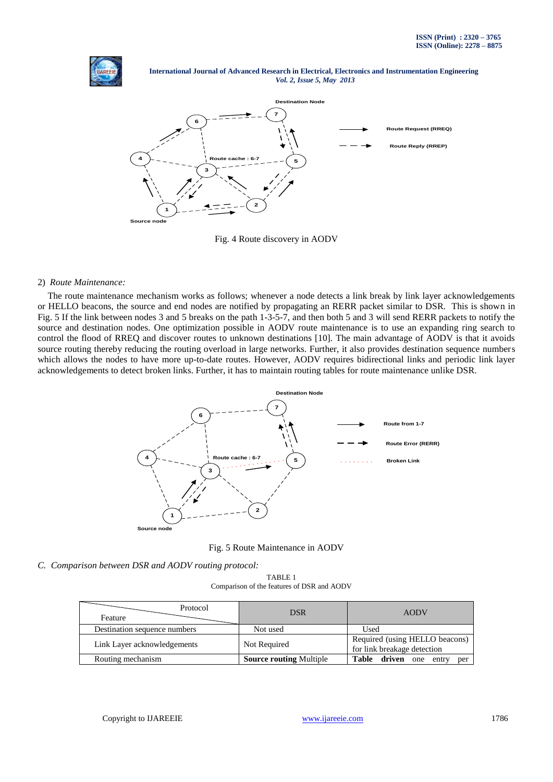

 **International Journal of Advanced Research in Electrical, Electronics and Instrumentation Engineering**   *Vol. 2, Issue 5, May 2013*



Fig. 4 Route discovery in AODV

## 2) *Route Maintenance:*

The route maintenance mechanism works as follows; whenever a node detects a link break by link layer acknowledgements or HELLO beacons, the source and end nodes are notified by propagating an RERR packet similar to DSR. This is shown in Fig. 5 If the link between nodes 3 and 5 breaks on the path 1-3-5-7, and then both 5 and 3 will send RERR packets to notify the source and destination nodes. One optimization possible in AODV route maintenance is to use an expanding ring search to control the flood of RREQ and discover routes to unknown destinations [10]. The main advantage of AODV is that it avoids source routing thereby reducing the routing overload in large networks. Further, it also provides destination sequence numbers which allows the nodes to have more up-to-date routes. However, AODV requires bidirectional links and periodic link layer acknowledgements to detect broken links. Further, it has to maintain routing tables for route maintenance unlike DSR.



Fig. 5 Route Maintenance in AODV

*C. Comparison between DSR and AODV routing protocol:*

TABLE 1 Comparison of the features of DSR and AODV

| Protocol<br>Feature          | <b>DSR</b>                     | <b>AODV</b>                                                   |
|------------------------------|--------------------------------|---------------------------------------------------------------|
| Destination sequence numbers | Not used                       | Used                                                          |
| Link Layer acknowledgements  | Not Required                   | Required (using HELLO beacons)<br>for link breakage detection |
| Routing mechanism            | <b>Source routing Multiple</b> | Table driven one<br>entry<br>per                              |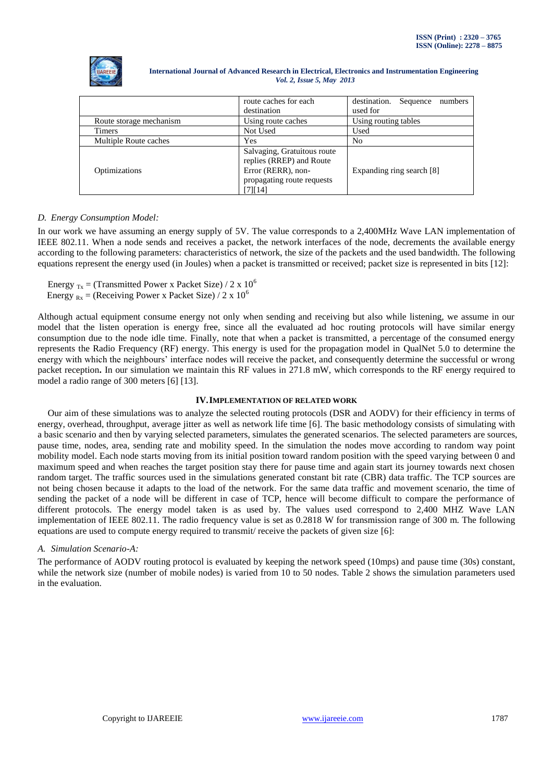

|                         | route caches for each                                                                                                  | destination.<br>Sequence<br>numbers |  |
|-------------------------|------------------------------------------------------------------------------------------------------------------------|-------------------------------------|--|
|                         | destination                                                                                                            | used for                            |  |
| Route storage mechanism | Using route caches                                                                                                     | Using routing tables                |  |
| <b>Timers</b>           | Not Used                                                                                                               | Used                                |  |
| Multiple Route caches   | Yes                                                                                                                    | N <sub>0</sub>                      |  |
| Optimizations           | Salvaging, Gratuitous route<br>replies (RREP) and Route<br>Error (RERR), non-<br>propagating route requests<br>[7][14] | Expanding ring search [8]           |  |

# *D. Energy Consumption Model:*

In our work we have assuming an energy supply of 5V. The value corresponds to a 2,400MHz Wave LAN implementation of IEEE 802.11. When a node sends and receives a packet, the network interfaces of the node, decrements the available energy according to the following parameters: characteristics of network, the size of the packets and the used bandwidth. The following equations represent the energy used (in Joules) when a packet is transmitted or received; packet size is represented in bits [12]:

Energy  $_{Tx}$  = (Transmitted Power x Packet Size) / 2 x 10<sup>6</sup>

Energy  $_{Rx}$  = (Receiving Power x Packet Size) / 2 x 10<sup>6</sup>

Although actual equipment consume energy not only when sending and receiving but also while listening, we assume in our model that the listen operation is energy free, since all the evaluated ad hoc routing protocols will have similar energy consumption due to the node idle time. Finally, note that when a packet is transmitted, a percentage of the consumed energy represents the Radio Frequency (RF) energy. This energy is used for the propagation model in QualNet 5.0 to determine the energy with which the neighbours' interface nodes will receive the packet, and consequently determine the successful or wrong packet reception**.** In our simulation we maintain this RF values in 271.8 mW, which corresponds to the RF energy required to model a radio range of 300 meters [6] [13].

# **IV.IMPLEMENTATION OF RELATED WORK**

Our aim of these simulations was to analyze the selected routing protocols (DSR and AODV) for their efficiency in terms of energy, overhead, throughput, average jitter as well as network life time [6]. The basic methodology consists of simulating with a basic scenario and then by varying selected parameters, simulates the generated scenarios. The selected parameters are sources, pause time, nodes, area, sending rate and mobility speed. In the simulation the nodes move according to random way point mobility model. Each node starts moving from its initial position toward random position with the speed varying between 0 and maximum speed and when reaches the target position stay there for pause time and again start its journey towards next chosen random target. The traffic sources used in the simulations generated constant bit rate (CBR) data traffic. The TCP sources are not being chosen because it adapts to the load of the network. For the same data traffic and movement scenario, the time of sending the packet of a node will be different in case of TCP, hence will become difficult to compare the performance of different protocols. The energy model taken is as used by. The values used correspond to 2,400 MHZ Wave LAN implementation of IEEE 802.11. The radio frequency value is set as 0.2818 W for transmission range of 300 m. The following equations are used to compute energy required to transmit/ receive the packets of given size [6]:

# *A. Simulation Scenario-A:*

The performance of AODV routing protocol is evaluated by keeping the network speed (10mps) and pause time (30s) constant, while the network size (number of mobile nodes) is varied from 10 to 50 nodes. Table 2 shows the simulation parameters used in the evaluation.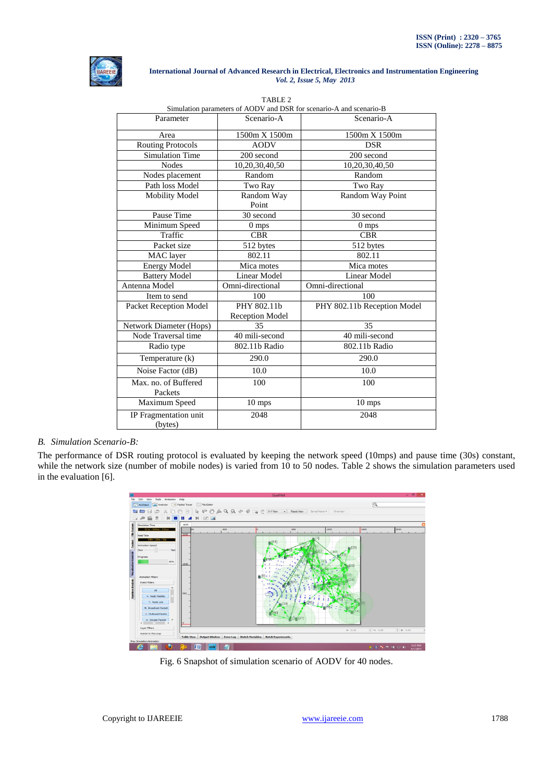

| Simulation parameters of AODV and DSR for scenario-A and scenario-B |                                       |                             |  |  |
|---------------------------------------------------------------------|---------------------------------------|-----------------------------|--|--|
| Parameter                                                           | Scenario-A                            | Scenario-A                  |  |  |
| Area                                                                | 1500m X 1500m                         | 1500m X 1500m               |  |  |
| <b>Routing Protocols</b>                                            | <b>AODV</b>                           | <b>DSR</b>                  |  |  |
| <b>Simulation Time</b>                                              | 200 second                            | 200 second                  |  |  |
| <b>Nodes</b>                                                        | 10,20,30,40,50                        | 10,20,30,40,50              |  |  |
| Nodes placement                                                     | Random                                | Random                      |  |  |
| Path loss Model                                                     | Two Ray                               | Two Ray                     |  |  |
| <b>Mobility Model</b>                                               | Random Way<br>Point                   | Random Way Point            |  |  |
| Pause Time                                                          | 30 second                             | 30 second                   |  |  |
| Minimum Speed                                                       | $0$ mps                               | 0 mps                       |  |  |
| Traffic                                                             | <b>CBR</b>                            | <b>CBR</b>                  |  |  |
| Packet size                                                         | 512 bytes                             | 512 bytes                   |  |  |
| MAC layer                                                           | 802.11                                | 802.11                      |  |  |
| <b>Energy Model</b>                                                 | Mica motes                            | Mica motes                  |  |  |
| <b>Battery Model</b>                                                | <b>Linear Model</b>                   | <b>Linear Model</b>         |  |  |
| Antenna Model                                                       | Omni-directional                      | Omni-directional            |  |  |
| Item to send                                                        | 100                                   | 100                         |  |  |
| Packet Reception Model                                              | PHY 802.11b<br><b>Reception Model</b> | PHY 802.11b Reception Model |  |  |
| Network Diameter (Hops)                                             | 35                                    | 35                          |  |  |
| Node Traversal time                                                 | 40 mili-second                        | 40 mili-second              |  |  |
| Radio type                                                          | 802.11b Radio                         | 802.11b Radio               |  |  |
| Temperature (k)                                                     | 290.0                                 | 290.0                       |  |  |
| Noise Factor (dB)                                                   | 10.0                                  | 10.0                        |  |  |
| Max. no. of Buffered<br>Packets                                     | 100                                   | 100                         |  |  |
| Maximum Speed                                                       | $10 \text{ mps}$                      | 10 mps                      |  |  |
| IP Fragmentation unit<br>(bytes)                                    | 2048                                  | 2048                        |  |  |

# TABLE 2

# *B. Simulation Scenario-B:*

The performance of DSR routing protocol is evaluated by keeping the network speed (10mps) and pause time (30s) constant, while the network size (number of mobile nodes) is varied from 10 to 50 nodes. Table 2 shows the simulation parameters used in the evaluation [6].



Fig. 6 Snapshot of simulation scenario of AODV for 40 nodes.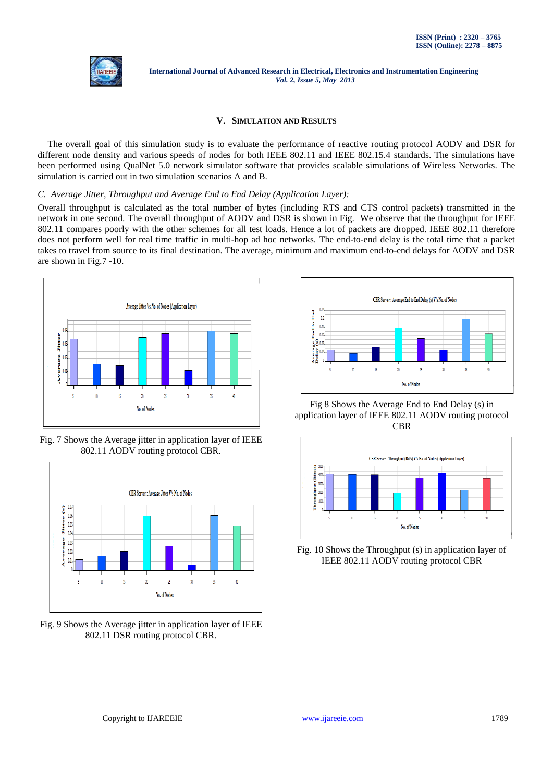

# **V. SIMULATION AND RESULTS**

The overall goal of this simulation study is to evaluate the performance of reactive routing protocol AODV and DSR for different node density and various speeds of nodes for both IEEE 802.11 and IEEE 802.15.4 standards. The simulations have been performed using QualNet 5.0 network simulator software that provides scalable simulations of Wireless Networks. The simulation is carried out in two simulation scenarios A and B.

#### *C. Average Jitter, Throughput and Average End to End Delay (Application Layer):*

Overall throughput is calculated as the total number of bytes (including RTS and CTS control packets) transmitted in the network in one second. The overall throughput of AODV and DSR is shown in Fig. We observe that the throughput for IEEE 802.11 compares poorly with the other schemes for all test loads. Hence a lot of packets are dropped. IEEE 802.11 therefore does not perform well for real time traffic in multi-hop ad hoc networks. The end-to-end delay is the total time that a packet takes to travel from source to its final destination. The average, minimum and maximum end-to-end delays for AODV and DSR are shown in Fig.7 -10.



Fig. 7 Shows the Average jitter in application layer of IEEE 802.11 AODV routing protocol CBR.



Fig. 9 Shows the Average jitter in application layer of IEEE 802.11 DSR routing protocol CBR.



Fig 8 Shows the Average End to End Delay (s) in application layer of IEEE 802.11 AODV routing protocol **CBR** 



Fig. 10 Shows the Throughput (s) in application layer of IEEE 802.11 AODV routing protocol CBR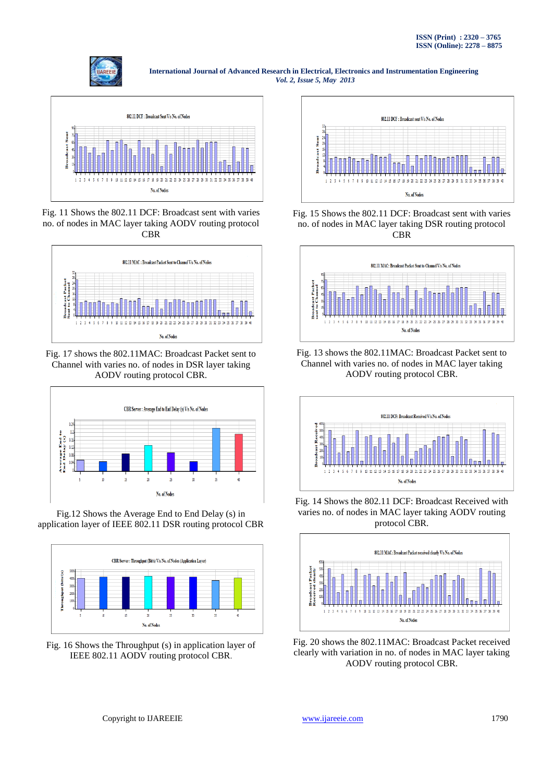



Fig. 11 Shows the 802.11 DCF: Broadcast sent with varies no. of nodes in MAC layer taking AODV routing protocol CBR



Fig. 17 shows the 802.11MAC: Broadcast Packet sent to Channel with varies no. of nodes in DSR layer taking AODV routing protocol CBR.



Fig.12 Shows the Average End to End Delay (s) in application layer of IEEE 802.11 DSR routing protocol CBR



Fig. 16 Shows the Throughput (s) in application layer of IEEE 802.11 AODV routing protocol CBR.



Fig. 15 Shows the 802.11 DCF: Broadcast sent with varies no. of nodes in MAC layer taking DSR routing protocol CBR



Fig. 13 shows the 802.11MAC: Broadcast Packet sent to Channel with varies no. of nodes in MAC layer taking AODV routing protocol CBR.



Fig. 14 Shows the 802.11 DCF: Broadcast Received with varies no. of nodes in MAC layer taking AODV routing protocol CBR.



Fig. 20 shows the 802.11MAC: Broadcast Packet received clearly with variation in no. of nodes in MAC layer taking AODV routing protocol CBR.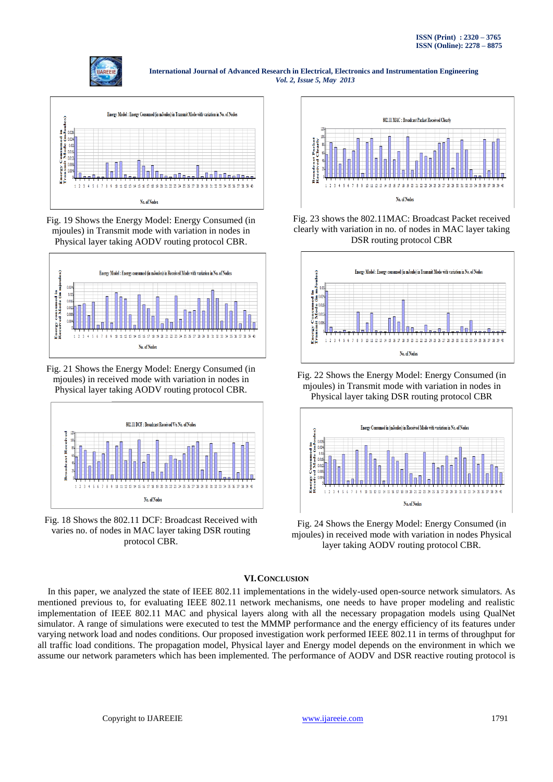



Fig. 19 Shows the Energy Model: Energy Consumed (in mjoules) in Transmit mode with variation in nodes in Physical layer taking AODV routing protocol CBR.



Fig. 21 Shows the Energy Model: Energy Consumed (in mjoules) in received mode with variation in nodes in Physical layer taking AODV routing protocol CBR.



Fig. 18 Shows the 802.11 DCF: Broadcast Received with varies no. of nodes in MAC layer taking DSR routing protocol CBR.



Fig. 23 shows the 802.11MAC: Broadcast Packet received clearly with variation in no. of nodes in MAC layer taking DSR routing protocol CBR



Fig. 22 Shows the Energy Model: Energy Consumed (in mjoules) in Transmit mode with variation in nodes in Physical layer taking DSR routing protocol CBR



Fig. 24 Shows the Energy Model: Energy Consumed (in mjoules) in received mode with variation in nodes Physical layer taking AODV routing protocol CBR.

# **VI.CONCLUSION**

In this paper, we analyzed the state of IEEE 802.11 implementations in the widely-used open-source network simulators. As mentioned previous to, for evaluating IEEE 802.11 network mechanisms, one needs to have proper modeling and realistic implementation of IEEE 802.11 MAC and physical layers along with all the necessary propagation models using QualNet simulator. A range of simulations were executed to test the MMMP performance and the energy efficiency of its features under varying network load and nodes conditions. Our proposed investigation work performed IEEE 802.11 in terms of throughput for all traffic load conditions. The propagation model, Physical layer and Energy model depends on the environment in which we assume our network parameters which has been implemented. The performance of AODV and DSR reactive routing protocol is